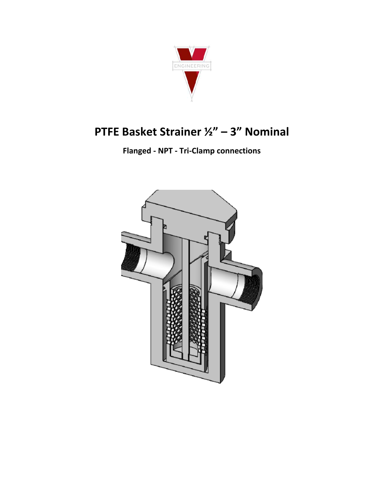

# PTFE Basket Strainer 1/2" - 3" Nominal

**Flanged - NPT - Tri-Clamp connections**